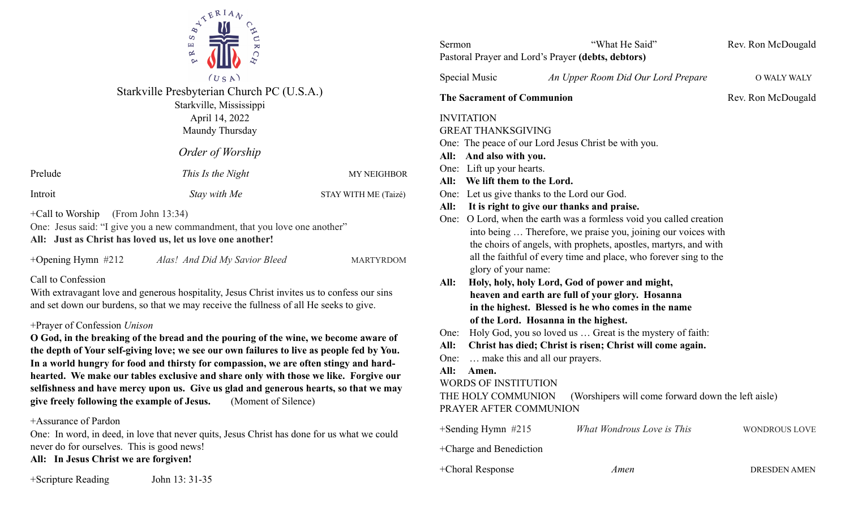

Starkville Presbyterian Church PC (U.S.A.) Starkville, Mississippi April 14, 2022 Maundy Thursday

*Order of Worship*

| Prelude | This Is the Night | <b>MY NEIGHBOR</b>   |
|---------|-------------------|----------------------|
| Introit | Stay with Me      | STAY WITH ME (Taizé) |

+Call to Worship (From John 13:34)

One: Jesus said: "I give you a new commandment, that you love one another" **All: Just as Christ has loved us, let us love one another!**

| +Opening Hymn $#212$ | Alas! And Did My Savior Bleed | <b>MARTYRDOM</b> |
|----------------------|-------------------------------|------------------|
|                      |                               |                  |

## Call to Confession

With extravagant love and generous hospitality, Jesus Christ invites us to confess our sins and set down our burdens, so that we may receive the fullness of all He seeks to give.

## +Prayer of Confession *Unison*

**O God, in the breaking of the bread and the pouring of the wine, we become aware of the depth of Your self-giving love; we see our own failures to live as people fed by You. In a world hungry for food and thirsty for compassion, we are often stingy and hardhearted. We make our tables exclusive and share only with those we like. Forgive our selfishness and have mercy upon us. Give us glad and generous hearts, so that we may give freely following the example of Jesus.** (Moment of Silence)

## +Assurance of Pardon

One: In word, in deed, in love that never quits, Jesus Christ has done for us what we could never do for ourselves. This is good news!

## **All: In Jesus Christ we are forgiven!**

+Scripture Reading John 13: 31-35

| Sermon                       |                                                                                                                                     | "What He Said"<br>Pastoral Prayer and Lord's Prayer (debts, debtors)                                                                                                                                                                                                                                                                                                                                                           | Rev. Ron McDougald   |
|------------------------------|-------------------------------------------------------------------------------------------------------------------------------------|--------------------------------------------------------------------------------------------------------------------------------------------------------------------------------------------------------------------------------------------------------------------------------------------------------------------------------------------------------------------------------------------------------------------------------|----------------------|
|                              | Special Music                                                                                                                       | An Upper Room Did Our Lord Prepare                                                                                                                                                                                                                                                                                                                                                                                             | <b>O WALY WALY</b>   |
|                              | The Sacrament of Communion                                                                                                          |                                                                                                                                                                                                                                                                                                                                                                                                                                | Rev. Ron McDougald   |
| All:<br>All:<br>One:         | <b>INVITATION</b><br><b>GREAT THANKSGIVING</b><br>All: And also with you.<br>One: Lift up your hearts.<br>We lift them to the Lord. | One: The peace of our Lord Jesus Christ be with you.<br>One: Let us give thanks to the Lord our God.<br>It is right to give our thanks and praise.<br>O Lord, when the earth was a formless void you called creation<br>into being  Therefore, we praise you, joining our voices with<br>the choirs of angels, with prophets, apostles, martyrs, and with<br>all the faithful of every time and place, who forever sing to the |                      |
| All:                         | glory of your name:                                                                                                                 | Holy, holy, holy Lord, God of power and might,<br>heaven and earth are full of your glory. Hosanna<br>in the highest. Blessed is he who comes in the name<br>of the Lord. Hosanna in the highest.                                                                                                                                                                                                                              |                      |
| One:<br>All:<br>One:<br>All: | make this and all our prayers.<br>Amen.                                                                                             | Holy God, you so loved us  Great is the mystery of faith:<br>Christ has died; Christ is risen; Christ will come again.                                                                                                                                                                                                                                                                                                         |                      |
|                              | WORDS OF INSTITUTION<br>THE HOLY COMMUNION<br>PRAYER AFTER COMMUNION                                                                | (Worshipers will come forward down the left aisle)                                                                                                                                                                                                                                                                                                                                                                             |                      |
|                              | $+$ Sending Hymn #215<br>+Charge and Benediction                                                                                    | What Wondrous Love is This                                                                                                                                                                                                                                                                                                                                                                                                     | <b>WONDROUS LOVE</b> |
|                              |                                                                                                                                     |                                                                                                                                                                                                                                                                                                                                                                                                                                |                      |

+Choral Response *Amen* DRESDEN AMEN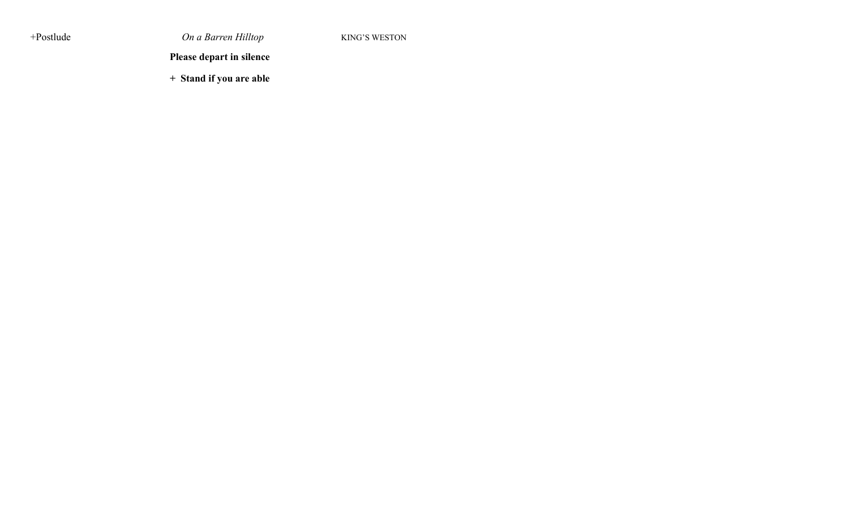+Postlude *On a Barren Hilltop* KING'S WESTON

**Please depart in silence**

**+ Stand if you are able**